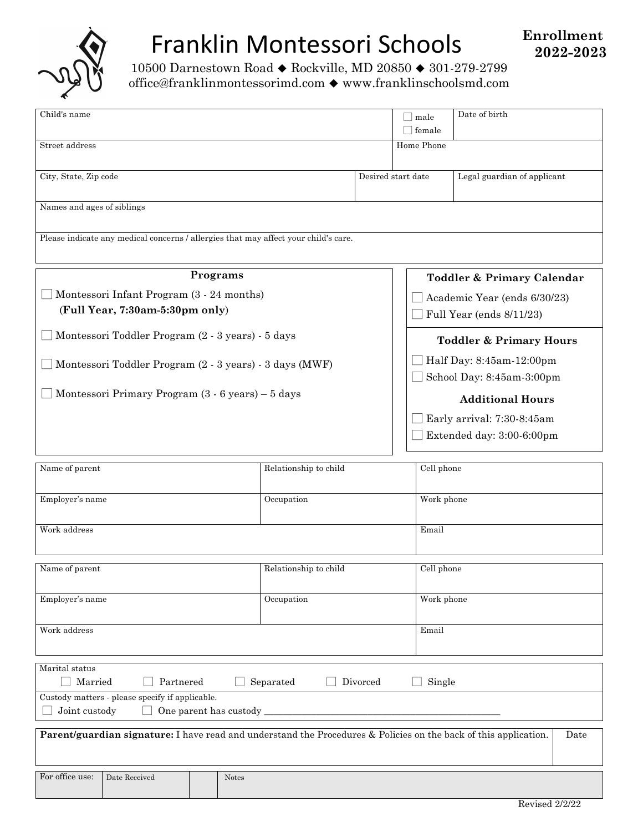

# Franklin Montessori Schools

10500 Darnestown Road  $\blacklozenge$  Rockville, MD 20850  $\blacklozenge$  301-279-2799 office@franklinmontessorimd.com  $\blacklozenge$  www.franklinschoolsmd.com

| Child's name                                                                                                             |                       |  | male<br>$\exists$ female                              | Date of birth |  |
|--------------------------------------------------------------------------------------------------------------------------|-----------------------|--|-------------------------------------------------------|---------------|--|
| Street address                                                                                                           |                       |  | Home Phone                                            |               |  |
| City, State, Zip code                                                                                                    |                       |  | Desired start date<br>Legal guardian of applicant     |               |  |
| Names and ages of siblings                                                                                               |                       |  |                                                       |               |  |
| Please indicate any medical concerns / allergies that may affect your child's care.                                      |                       |  |                                                       |               |  |
| Programs                                                                                                                 |                       |  | Toddler & Primary Calendar                            |               |  |
| Montessori Infant Program (3 - 24 months)                                                                                |                       |  | Academic Year (ends 6/30/23)                          |               |  |
| (Full Year, 7:30am-5:30pm only)                                                                                          |                       |  | Full Year (ends 8/11/23)                              |               |  |
| Montessori Toddler Program (2 - 3 years) - 5 days                                                                        |                       |  | <b>Toddler &amp; Primary Hours</b>                    |               |  |
| Montessori Toddler Program (2 - 3 years) - 3 days (MWF)                                                                  |                       |  | Half Day: 8:45am-12:00pm<br>School Day: 8:45am-3:00pm |               |  |
| Montessori Primary Program $(3 - 6$ years) – $5$ days                                                                    |                       |  | <b>Additional Hours</b>                               |               |  |
|                                                                                                                          |                       |  | Early arrival: 7:30-8:45am                            |               |  |
|                                                                                                                          |                       |  | Extended day: 3:00-6:00pm                             |               |  |
| Name of parent                                                                                                           | Relationship to child |  |                                                       | Cell phone    |  |
| Employer's name                                                                                                          | Occupation            |  |                                                       | Work phone    |  |
| Work address                                                                                                             |                       |  | Email                                                 |               |  |
| Name of parent                                                                                                           | Relationship to child |  |                                                       | Cell phone    |  |
| Employer's name                                                                                                          | Occupation            |  |                                                       | Work phone    |  |
| Work address                                                                                                             |                       |  |                                                       | Email         |  |
| Marital status                                                                                                           |                       |  |                                                       |               |  |
| Married<br>Partnered<br>Divorced<br>Single<br>Separated                                                                  |                       |  |                                                       |               |  |
| Custody matters - please specify if applicable.<br>Joint custody<br>One parent has custody_                              |                       |  |                                                       |               |  |
| Parent/guardian signature: I have read and understand the Procedures & Policies on the back of this application.<br>Date |                       |  |                                                       |               |  |

For office use: Date Received Notes